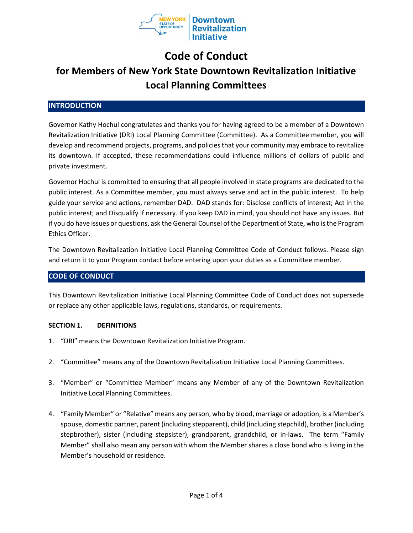

# Code of Conduct

# for Members of New York State Downtown Revitalization Initiative Local Planning Committees

## **INTRODUCTION**

Governor Kathy Hochul congratulates and thanks you for having agreed to be a member of a Downtown Revitalization Initiative (DRI) Local Planning Committee (Committee). As a Committee member, you will develop and recommend projects, programs, and policies that your community may embrace to revitalize its downtown. If accepted, these recommendations could influence millions of dollars of public and private investment.

Governor Hochul is committed to ensuring that all people involved in state programs are dedicated to the public interest. As a Committee member, you must always serve and act in the public interest. To help guide your service and actions, remember DAD. DAD stands for: Disclose conflicts of interest; Act in the public interest; and Disqualify if necessary. If you keep DAD in mind, you should not have any issues. But if you do have issues or questions, ask the General Counsel of the Department of State, who is the Program Ethics Officer.

The Downtown Revitalization Initiative Local Planning Committee Code of Conduct follows. Please sign and return it to your Program contact before entering upon your duties as a Committee member.

## CODE OF CONDUCT

This Downtown Revitalization Initiative Local Planning Committee Code of Conduct does not supersede or replace any other applicable laws, regulations, standards, or requirements.

#### SECTION 1. DEFINITIONS

- 1. "DRI" means the Downtown Revitalization Initiative Program.
- 2. "Committee" means any of the Downtown Revitalization Initiative Local Planning Committees.
- 3. "Member" or "Committee Member" means any Member of any of the Downtown Revitalization Initiative Local Planning Committees.
- 4. "Family Member" or "Relative" means any person, who by blood, marriage or adoption, is a Member's spouse, domestic partner, parent (including stepparent), child (including stepchild), brother (including stepbrother), sister (including stepsister), grandparent, grandchild, or in-laws. The term "Family Member" shall also mean any person with whom the Member shares a close bond who is living in the Member's household or residence.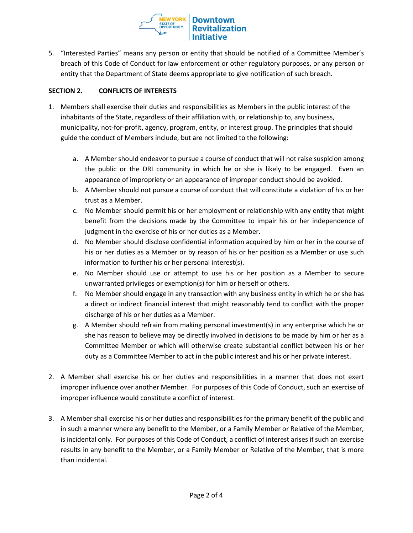**VEW YORK** STATE OF<br>OPPORTUNITY.

5. "Interested Parties" means any person or entity that should be notified of a Committee Member's breach of this Code of Conduct for law enforcement or other regulatory purposes, or any person or entity that the Department of State deems appropriate to give notification of such breach.

## SECTION 2. CONFLICTS OF INTERESTS

- 1. Members shall exercise their duties and responsibilities as Members in the public interest of the inhabitants of the State, regardless of their affiliation with, or relationship to, any business, municipality, not-for-profit, agency, program, entity, or interest group. The principles that should guide the conduct of Members include, but are not limited to the following:
	- a. A Member should endeavor to pursue a course of conduct that will not raise suspicion among the public or the DRI community in which he or she is likely to be engaged. Even an appearance of impropriety or an appearance of improper conduct should be avoided.
	- b. A Member should not pursue a course of conduct that will constitute a violation of his or her trust as a Member.
	- c. No Member should permit his or her employment or relationship with any entity that might benefit from the decisions made by the Committee to impair his or her independence of judgment in the exercise of his or her duties as a Member.
	- d. No Member should disclose confidential information acquired by him or her in the course of his or her duties as a Member or by reason of his or her position as a Member or use such information to further his or her personal interest(s).
	- e. No Member should use or attempt to use his or her position as a Member to secure unwarranted privileges or exemption(s) for him or herself or others.
	- f. No Member should engage in any transaction with any business entity in which he or she has a direct or indirect financial interest that might reasonably tend to conflict with the proper discharge of his or her duties as a Member.
	- g. A Member should refrain from making personal investment(s) in any enterprise which he or she has reason to believe may be directly involved in decisions to be made by him or her as a Committee Member or which will otherwise create substantial conflict between his or her duty as a Committee Member to act in the public interest and his or her private interest.
- 2. A Member shall exercise his or her duties and responsibilities in a manner that does not exert improper influence over another Member. For purposes of this Code of Conduct, such an exercise of improper influence would constitute a conflict of interest.
- 3. A Member shall exercise his or her duties and responsibilities for the primary benefit of the public and in such a manner where any benefit to the Member, or a Family Member or Relative of the Member, is incidental only. For purposes of this Code of Conduct, a conflict of interest arises if such an exercise results in any benefit to the Member, or a Family Member or Relative of the Member, that is more than incidental.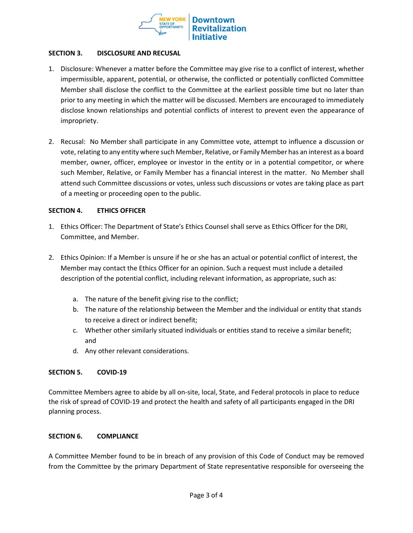

### SECTION 3. DISCLOSURE AND RECUSAL

- 1. Disclosure: Whenever a matter before the Committee may give rise to a conflict of interest, whether impermissible, apparent, potential, or otherwise, the conflicted or potentially conflicted Committee Member shall disclose the conflict to the Committee at the earliest possible time but no later than prior to any meeting in which the matter will be discussed. Members are encouraged to immediately disclose known relationships and potential conflicts of interest to prevent even the appearance of impropriety.
- 2. Recusal: No Member shall participate in any Committee vote, attempt to influence a discussion or vote, relating to any entity where such Member, Relative, or Family Member has an interest as a board member, owner, officer, employee or investor in the entity or in a potential competitor, or where such Member, Relative, or Family Member has a financial interest in the matter. No Member shall attend such Committee discussions or votes, unless such discussions or votes are taking place as part of a meeting or proceeding open to the public.

### SECTION 4. ETHICS OFFICER

- 1. Ethics Officer: The Department of State's Ethics Counsel shall serve as Ethics Officer for the DRI, Committee, and Member.
- 2. Ethics Opinion: If a Member is unsure if he or she has an actual or potential conflict of interest, the Member may contact the Ethics Officer for an opinion. Such a request must include a detailed description of the potential conflict, including relevant information, as appropriate, such as:
	- a. The nature of the benefit giving rise to the conflict;
	- b. The nature of the relationship between the Member and the individual or entity that stands to receive a direct or indirect benefit;
	- c. Whether other similarly situated individuals or entities stand to receive a similar benefit; and
	- d. Any other relevant considerations.

#### SECTION 5. COVID-19

Committee Members agree to abide by all on-site, local, State, and Federal protocols in place to reduce the risk of spread of COVID-19 and protect the health and safety of all participants engaged in the DRI planning process.

#### SECTION 6. COMPLIANCE

A Committee Member found to be in breach of any provision of this Code of Conduct may be removed from the Committee by the primary Department of State representative responsible for overseeing the